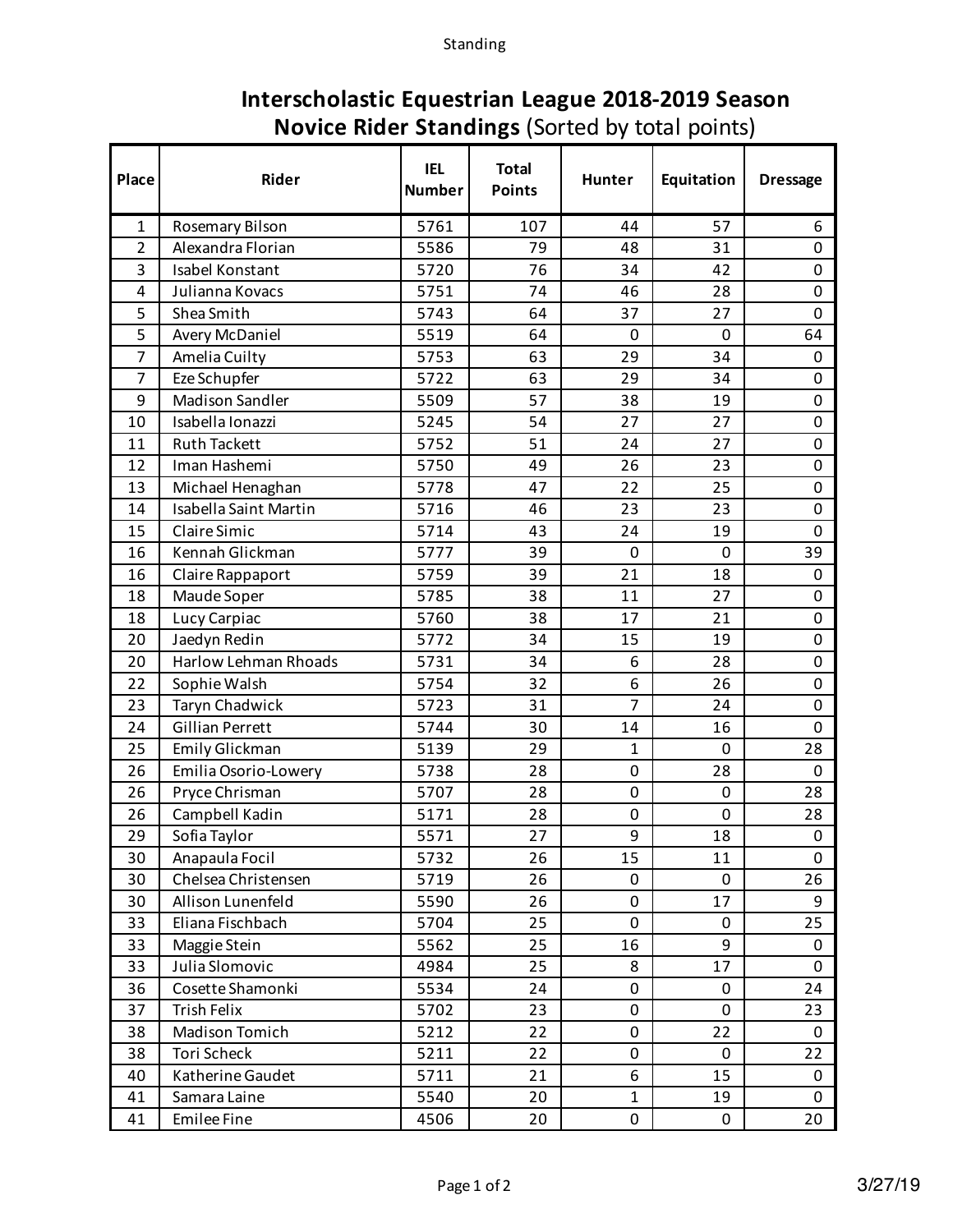## **Interscholastic Equestrian League 2018-2019 Season Novice Rider Standings** (Sorted by total points)

| Place          | Rider                        | <b>IEL</b><br><b>Number</b> | <b>Total</b><br><b>Points</b> | <b>Hunter</b>  | Equitation  | <b>Dressage</b>  |
|----------------|------------------------------|-----------------------------|-------------------------------|----------------|-------------|------------------|
| 1              | Rosemary Bilson              | 5761                        | 107                           | 44             | 57          | 6                |
| $\overline{2}$ | Alexandra Florian            | 5586                        | 79                            | 48             | 31          | 0                |
| 3              | Isabel Konstant              | 5720                        | 76                            | 34             | 42          | 0                |
| 4              | Julianna Kovacs              | 5751                        | 74                            | 46             | 28          | $\mathbf 0$      |
| 5              | Shea Smith                   | 5743                        | 64                            | 37             | 27          | $\boldsymbol{0}$ |
| 5              | Avery McDaniel               | 5519                        | 64                            | 0              | $\mathbf 0$ | 64               |
| 7              | Amelia Cuilty                | 5753                        | 63                            | 29             | 34          | 0                |
| 7              | Eze Schupfer                 | 5722                        | 63                            | 29             | 34          | $\boldsymbol{0}$ |
| 9              | <b>Madison Sandler</b>       | 5509                        | 57                            | 38             | 19          | $\pmb{0}$        |
| 10             | Isabella Ionazzi             | 5245                        | 54                            | 27             | 27          | $\pmb{0}$        |
| 11             | <b>Ruth Tackett</b>          | 5752                        | 51                            | 24             | 27          | $\boldsymbol{0}$ |
| 12             | Iman Hashemi                 | 5750                        | 49                            | 26             | 23          | 0                |
| 13             | Michael Henaghan             | 5778                        | 47                            | 22             | 25          | 0                |
| 14             | <b>Isabella Saint Martin</b> | 5716                        | 46                            | 23             | 23          | $\boldsymbol{0}$ |
| 15             | Claire Simic                 | 5714                        | 43                            | 24             | 19          | $\pmb{0}$        |
| 16             | Kennah Glickman              | 5777                        | 39                            | 0              | $\mathbf 0$ | 39               |
| 16             | Claire Rappaport             | 5759                        | 39                            | 21             | 18          | 0                |
| 18             | Maude Soper                  | 5785                        | 38                            | 11             | 27          | $\pmb{0}$        |
| 18             | Lucy Carpiac                 | 5760                        | 38                            | 17             | 21          | 0                |
| 20             | Jaedyn Redin                 | 5772                        | 34                            | 15             | 19          | $\boldsymbol{0}$ |
| 20             | Harlow Lehman Rhoads         | 5731                        | 34                            | 6              | 28          | 0                |
| 22             | Sophie Walsh                 | 5754                        | 32                            | 6              | 26          | 0                |
| 23             | Taryn Chadwick               | 5723                        | 31                            | $\overline{7}$ | 24          | $\boldsymbol{0}$ |
| 24             | <b>Gillian Perrett</b>       | 5744                        | 30                            | 14             | 16          | 0                |
| 25             | Emily Glickman               | 5139                        | 29                            | 1              | $\mathbf 0$ | 28               |
| 26             | Emilia Osorio-Lowery         | 5738                        | 28                            | 0              | 28          | 0                |
| 26             | Pryce Chrisman               | 5707                        | 28                            | 0              | 0           | 28               |
| 26             | Campbell Kadin               | 5171                        | 28                            | 0              | 0           | 28               |
| 29             | Sofia Taylor                 | 5571                        | 27                            | 9              | 18          | 0                |
| 30             | Anapaula Focil               | 5732                        | 26                            | 15             | 11          | 0                |
| 30             | Chelsea Christensen          | 5719                        | 26                            | 0              | 0           | 26               |
| 30             | Allison Lunenfeld            | 5590                        | 26                            | 0              | 17          | 9                |
| 33             | Eliana Fischbach             | 5704                        | 25                            | 0              | 0           | 25               |
| 33             | Maggie Stein                 | 5562                        | 25                            | 16             | 9           | 0                |
| 33             | Julia Slomovic               | 4984                        | 25                            | 8              | 17          | 0                |
| 36             | Cosette Shamonki             | 5534                        | 24                            | 0              | 0           | 24               |
| 37             | Trish Felix                  | 5702                        | 23                            | 0              | 0           | 23               |
| 38             | Madison Tomich               | 5212                        | 22                            | 0              | 22          | 0                |
| 38             | Tori Scheck                  | 5211                        | 22                            | 0              | 0           | 22               |
| 40             | Katherine Gaudet             | 5711                        | 21                            | 6              | 15          | 0                |
| 41             | Samara Laine                 | 5540                        | 20                            | $\mathbf{1}$   | 19          | 0                |
| 41             | <b>Emilee Fine</b>           | 4506                        | 20                            | 0              | 0           | 20               |